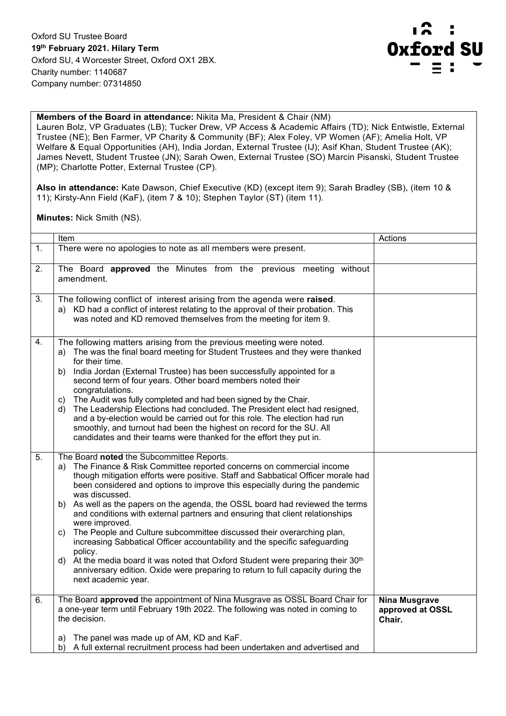

## **Members of the Board in attendance:** Nikita Ma, President & Chair (NM)

Lauren Bolz, VP Graduates (LB); Tucker Drew, VP Access & Academic Affairs (TD); Nick Entwistle, External Trustee (NE); Ben Farmer, VP Charity & Community (BF); Alex Foley, VP Women (AF); Amelia Holt, VP Welfare & Equal Opportunities (AH), India Jordan, External Trustee (IJ); Asif Khan, Student Trustee (AK); James Nevett, Student Trustee (JN); Sarah Owen, External Trustee (SO) Marcin Pisanski, Student Trustee (MP); Charlotte Potter, External Trustee (CP).

**Also in attendance:** Kate Dawson, Chief Executive (KD) (except item 9); Sarah Bradley (SB), (item 10 & 11); Kirsty-Ann Field (KaF), (item 7 & 10); Stephen Taylor (ST) (item 11).

**Minutes:** Nick Smith (NS).

|    | Item                                                                                                                                                                                                                                                                                                                                                                                                                                                                                                                                                                                                                                                                                                                                                                                                                                                                            | Actions                                            |
|----|---------------------------------------------------------------------------------------------------------------------------------------------------------------------------------------------------------------------------------------------------------------------------------------------------------------------------------------------------------------------------------------------------------------------------------------------------------------------------------------------------------------------------------------------------------------------------------------------------------------------------------------------------------------------------------------------------------------------------------------------------------------------------------------------------------------------------------------------------------------------------------|----------------------------------------------------|
| 1. | There were no apologies to note as all members were present.                                                                                                                                                                                                                                                                                                                                                                                                                                                                                                                                                                                                                                                                                                                                                                                                                    |                                                    |
| 2. | The Board <b>approved</b> the Minutes from the previous meeting without<br>amendment.                                                                                                                                                                                                                                                                                                                                                                                                                                                                                                                                                                                                                                                                                                                                                                                           |                                                    |
| 3. | The following conflict of interest arising from the agenda were raised.<br>a) KD had a conflict of interest relating to the approval of their probation. This<br>was noted and KD removed themselves from the meeting for item 9.                                                                                                                                                                                                                                                                                                                                                                                                                                                                                                                                                                                                                                               |                                                    |
| 4. | The following matters arising from the previous meeting were noted.<br>The was the final board meeting for Student Trustees and they were thanked<br>a)<br>for their time.<br>India Jordan (External Trustee) has been successfully appointed for a<br>b)<br>second term of four years. Other board members noted their<br>congratulations.<br>The Audit was fully completed and had been signed by the Chair.<br>c)<br>The Leadership Elections had concluded. The President elect had resigned,<br>d)<br>and a by-election would be carried out for this role. The election had run<br>smoothly, and turnout had been the highest on record for the SU. All<br>candidates and their teams were thanked for the effort they put in.                                                                                                                                            |                                                    |
| 5. | The Board noted the Subcommittee Reports.<br>The Finance & Risk Committee reported concerns on commercial income<br>a)<br>though mitigation efforts were positive. Staff and Sabbatical Officer morale had<br>been considered and options to improve this especially during the pandemic<br>was discussed.<br>b) As well as the papers on the agenda, the OSSL board had reviewed the terms<br>and conditions with external partners and ensuring that client relationships<br>were improved.<br>The People and Culture subcommittee discussed their overarching plan,<br>C)<br>increasing Sabbatical Officer accountability and the specific safeguarding<br>policy.<br>d) At the media board it was noted that Oxford Student were preparing their 30 <sup>th</sup><br>anniversary edition. Oxide were preparing to return to full capacity during the<br>next academic year. |                                                    |
| 6. | The Board approved the appointment of Nina Musgrave as OSSL Board Chair for<br>a one-year term until February 19th 2022. The following was noted in coming to<br>the decision.                                                                                                                                                                                                                                                                                                                                                                                                                                                                                                                                                                                                                                                                                                  | <b>Nina Musgrave</b><br>approved at OSSL<br>Chair. |
|    | The panel was made up of AM, KD and KaF.<br>a)<br>A full external recruitment process had been undertaken and advertised and<br>b)                                                                                                                                                                                                                                                                                                                                                                                                                                                                                                                                                                                                                                                                                                                                              |                                                    |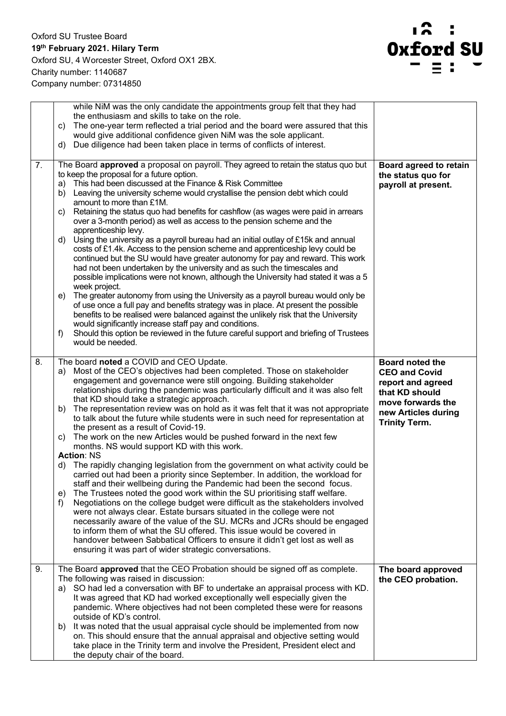

|    | while NiM was the only candidate the appointments group felt that they had<br>the enthusiasm and skills to take on the role.<br>The one-year term reflected a trial period and the board were assured that this<br>c)<br>would give additional confidence given NiM was the sole applicant.<br>Due diligence had been taken place in terms of conflicts of interest.<br>d)                                                                                                                                                                                                                                                                                                                                                                                                                                                                                                                                                                                                                                                                                                                                                                                                                                                                                                                                                                                                                                                                                                                                        |                                                                                                                                                           |
|----|-------------------------------------------------------------------------------------------------------------------------------------------------------------------------------------------------------------------------------------------------------------------------------------------------------------------------------------------------------------------------------------------------------------------------------------------------------------------------------------------------------------------------------------------------------------------------------------------------------------------------------------------------------------------------------------------------------------------------------------------------------------------------------------------------------------------------------------------------------------------------------------------------------------------------------------------------------------------------------------------------------------------------------------------------------------------------------------------------------------------------------------------------------------------------------------------------------------------------------------------------------------------------------------------------------------------------------------------------------------------------------------------------------------------------------------------------------------------------------------------------------------------|-----------------------------------------------------------------------------------------------------------------------------------------------------------|
| 7. | The Board approved a proposal on payroll. They agreed to retain the status quo but<br>to keep the proposal for a future option.<br>This had been discussed at the Finance & Risk Committee<br>a)<br>Leaving the university scheme would crystallise the pension debt which could<br>b)<br>amount to more than £1M.<br>Retaining the status quo had benefits for cashflow (as wages were paid in arrears<br>C)<br>over a 3-month period) as well as access to the pension scheme and the<br>apprenticeship levy.<br>Using the university as a payroll bureau had an initial outlay of £15k and annual<br>d)<br>costs of £1.4k. Access to the pension scheme and apprenticeship levy could be<br>continued but the SU would have greater autonomy for pay and reward. This work<br>had not been undertaken by the university and as such the timescales and<br>possible implications were not known, although the University had stated it was a 5<br>week project.<br>The greater autonomy from using the University as a payroll bureau would only be<br>e)<br>of use once a full pay and benefits strategy was in place. At present the possible<br>benefits to be realised were balanced against the unlikely risk that the University<br>would significantly increase staff pay and conditions.<br>Should this option be reviewed in the future careful support and briefing of Trustees<br>f)<br>would be needed.                                                                                             | Board agreed to retain<br>the status quo for<br>payroll at present.                                                                                       |
| 8. | The board noted a COVID and CEO Update.<br>Most of the CEO's objectives had been completed. Those on stakeholder<br>a)<br>engagement and governance were still ongoing. Building stakeholder<br>relationships during the pandemic was particularly difficult and it was also felt<br>that KD should take a strategic approach.<br>The representation review was on hold as it was felt that it was not appropriate<br>b)<br>to talk about the future while students were in such need for representation at<br>the present as a result of Covid-19.<br>The work on the new Articles would be pushed forward in the next few<br>C)<br>months. NS would support KD with this work.<br><b>Action: NS</b><br>The rapidly changing legislation from the government on what activity could be<br>d)<br>carried out had been a priority since September. In addition, the workload for<br>staff and their wellbeing during the Pandemic had been the second focus.<br>The Trustees noted the good work within the SU prioritising staff welfare.<br>e)<br>Negotiations on the college budget were difficult as the stakeholders involved<br>f)<br>were not always clear. Estate bursars situated in the college were not<br>necessarily aware of the value of the SU. MCRs and JCRs should be engaged<br>to inform them of what the SU offered. This issue would be covered in<br>handover between Sabbatical Officers to ensure it didn't get lost as well as<br>ensuring it was part of wider strategic conversations. | <b>Board noted the</b><br><b>CEO and Covid</b><br>report and agreed<br>that KD should<br>move forwards the<br>new Articles during<br><b>Trinity Term.</b> |
| 9. | The Board approved that the CEO Probation should be signed off as complete.<br>The following was raised in discussion:<br>SO had led a conversation with BF to undertake an appraisal process with KD.<br>a)<br>It was agreed that KD had worked exceptionally well especially given the<br>pandemic. Where objectives had not been completed these were for reasons<br>outside of KD's control.<br>It was noted that the usual appraisal cycle should be implemented from now<br>b)<br>on. This should ensure that the annual appraisal and objective setting would<br>take place in the Trinity term and involve the President, President elect and<br>the deputy chair of the board.                                                                                                                                                                                                                                                                                                                                                                                                                                                                                                                                                                                                                                                                                                                                                                                                                           | The board approved<br>the CEO probation.                                                                                                                  |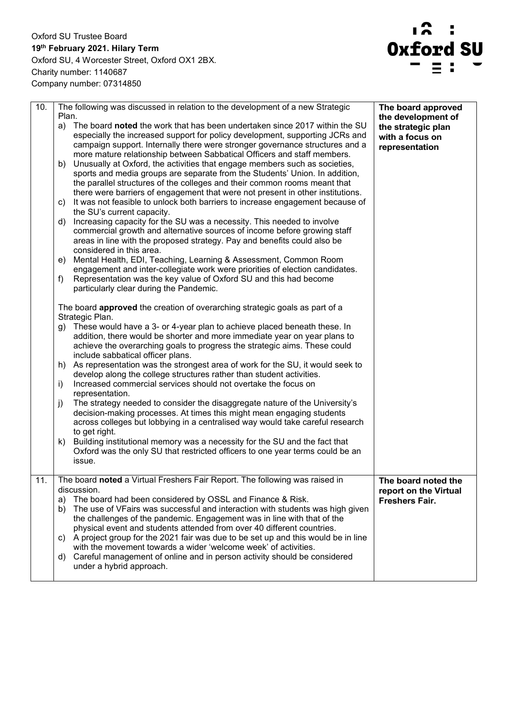

| 10. | The following was discussed in relation to the development of a new Strategic<br>Plan.<br>The board noted the work that has been undertaken since 2017 within the SU<br>a)<br>especially the increased support for policy development, supporting JCRs and<br>campaign support. Internally there were stronger governance structures and a<br>more mature relationship between Sabbatical Officers and staff members. | The board approved<br>the development of<br>the strategic plan<br>with a focus on<br>representation |
|-----|-----------------------------------------------------------------------------------------------------------------------------------------------------------------------------------------------------------------------------------------------------------------------------------------------------------------------------------------------------------------------------------------------------------------------|-----------------------------------------------------------------------------------------------------|
|     | Unusually at Oxford, the activities that engage members such as societies,<br>b)<br>sports and media groups are separate from the Students' Union. In addition,<br>the parallel structures of the colleges and their common rooms meant that<br>there were barriers of engagement that were not present in other institutions.                                                                                        |                                                                                                     |
|     | It was not feasible to unlock both barriers to increase engagement because of<br>C)<br>the SU's current capacity.                                                                                                                                                                                                                                                                                                     |                                                                                                     |
|     | Increasing capacity for the SU was a necessity. This needed to involve<br>d)<br>commercial growth and alternative sources of income before growing staff<br>areas in line with the proposed strategy. Pay and benefits could also be<br>considered in this area.                                                                                                                                                      |                                                                                                     |
|     | Mental Health, EDI, Teaching, Learning & Assessment, Common Room<br>e)<br>engagement and inter-collegiate work were priorities of election candidates.<br>Representation was the key value of Oxford SU and this had become<br>f)                                                                                                                                                                                     |                                                                                                     |
|     | particularly clear during the Pandemic.                                                                                                                                                                                                                                                                                                                                                                               |                                                                                                     |
|     | The board <b>approved</b> the creation of overarching strategic goals as part of a<br>Strategic Plan.                                                                                                                                                                                                                                                                                                                 |                                                                                                     |
|     | These would have a 3- or 4-year plan to achieve placed beneath these. In<br>g)<br>addition, there would be shorter and more immediate year on year plans to<br>achieve the overarching goals to progress the strategic aims. These could<br>include sabbatical officer plans.                                                                                                                                         |                                                                                                     |
|     | As representation was the strongest area of work for the SU, it would seek to<br>h)<br>develop along the college structures rather than student activities.                                                                                                                                                                                                                                                           |                                                                                                     |
|     | Increased commercial services should not overtake the focus on<br>i)<br>representation.                                                                                                                                                                                                                                                                                                                               |                                                                                                     |
|     | The strategy needed to consider the disaggregate nature of the University's<br>j)<br>decision-making processes. At times this might mean engaging students<br>across colleges but lobbying in a centralised way would take careful research<br>to get right.                                                                                                                                                          |                                                                                                     |
|     | Building institutional memory was a necessity for the SU and the fact that<br>k)<br>Oxford was the only SU that restricted officers to one year terms could be an<br>issue.                                                                                                                                                                                                                                           |                                                                                                     |
| 11. | The board noted a Virtual Freshers Fair Report. The following was raised in<br>discussion.                                                                                                                                                                                                                                                                                                                            | The board noted the<br>report on the Virtual                                                        |
|     | The board had been considered by OSSL and Finance & Risk.<br>a)<br>The use of VFairs was successful and interaction with students was high given<br>b)<br>the challenges of the pandemic. Engagement was in line with that of the<br>physical event and students attended from over 40 different countries.                                                                                                           | <b>Freshers Fair.</b>                                                                               |
|     | A project group for the 2021 fair was due to be set up and this would be in line<br>C)<br>with the movement towards a wider 'welcome week' of activities.                                                                                                                                                                                                                                                             |                                                                                                     |
|     | Careful management of online and in person activity should be considered<br>d)<br>under a hybrid approach.                                                                                                                                                                                                                                                                                                            |                                                                                                     |